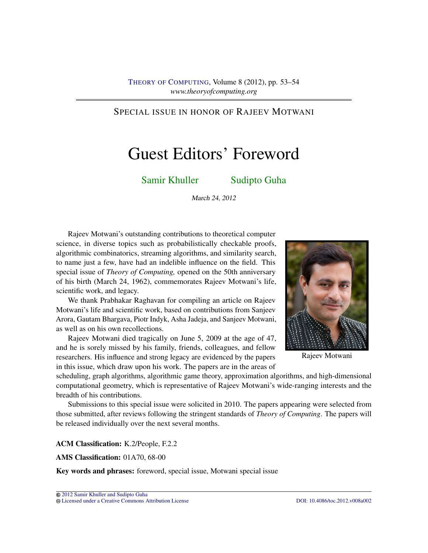## SPECIAL ISSUE IN HONOR OF RAJEEV MOTWANI

## Guest Editors' Foreword

[Samir Khuller](#page-1-0) [Sudipto Guha](#page-1-1)

March 24, 2012

Rajeev Motwani's outstanding contributions to theoretical computer science, in diverse topics such as probabilistically checkable proofs, algorithmic combinatorics, streaming algorithms, and similarity search, to name just a few, have had an indelible influence on the field. This special issue of *Theory of Computing,* opened on the 50th anniversary of his birth (March 24, 1962), commemorates Rajeev Motwani's life, scientific work, and legacy.

We thank Prabhakar Raghavan for compiling an article on Rajeev Motwani's life and scientific work, based on contributions from Sanjeev Arora, Gautam Bhargava, Piotr Indyk, Asha Jadeja, and Sanjeev Motwani, as well as on his own recollections.

Rajeev Motwani died tragically on June 5, 2009 at the age of 47, and he is sorely missed by his family, friends, colleagues, and fellow researchers. His influence and strong legacy are evidenced by the papers in this issue, which draw upon his work. The papers are in the areas of



Rajeev Motwani

scheduling, graph algorithms, algorithmic game theory, approximation algorithms, and high-dimensional computational geometry, which is representative of Rajeev Motwani's wide-ranging interests and the breadth of his contributions.

Submissions to this special issue were solicited in 2010. The papers appearing were selected from those submitted, after reviews following the stringent standards of *Theory of Computing*. The papers will be released individually over the next several months.

ACM Classification: K.2/People, F.2.2

AMS Classification: 01A70, 68-00

Key words and phrases: foreword, special issue, Motwani special issue

[Licensed under a Creative Commons Attribution License](http://creativecommons.org/licenses/by/3.0/) [DOI: 10.4086/toc.2012.v008a002](http://dx.doi.org/10.4086/toc.2012.v008a002)